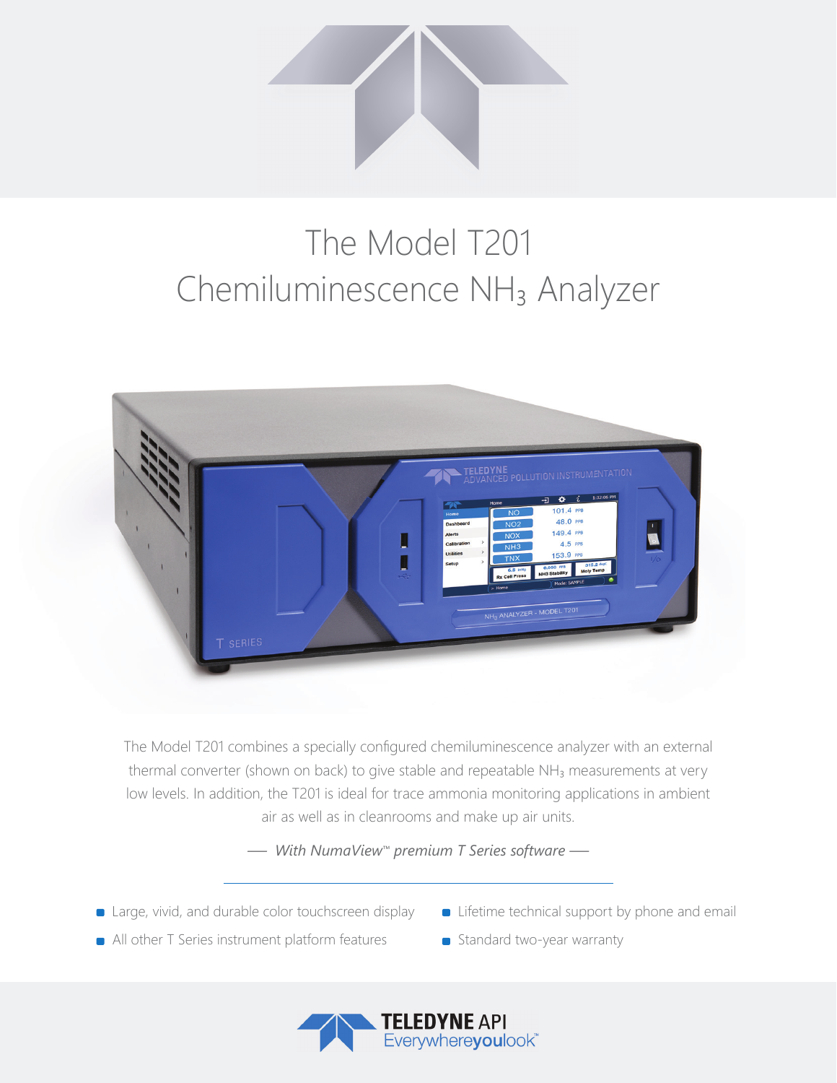

## The Model T201 Chemiluminescence NH₃ Analyzer



The Model T201 combines a specially configured chemiluminescence analyzer with an external thermal converter (shown on back) to give stable and repeatable NH<sub>3</sub> measurements at very low levels. In addition, the T201 is ideal for trace ammonia monitoring applications in ambient air as well as in cleanrooms and make up air units.

*— With NumaView™ premium T Series software —*

- **E** Large, vivid, and durable color touchscreen display
- **Example 1** Lifetime technical support by phone and email
- All other T Series instrument platform features
- Standard two-year warranty